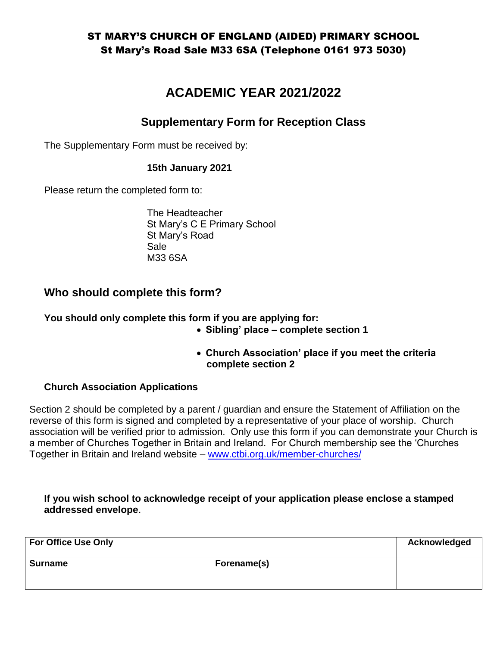# **ACADEMIC YEAR 2021/2022**

## **Supplementary Form for Reception Class**

The Supplementary Form must be received by:

#### **15th January 2021**

Please return the completed form to:

The Headteacher St Mary's C E Primary School St Mary's Road Sale M33 6SA

## **Who should complete this form?**

**You should only complete this form if you are applying for:**

- **Sibling' place – complete section 1**
- **Church Association' place if you meet the criteria complete section 2**

### **Church Association Applications**

Section 2 should be completed by a parent / guardian and ensure the Statement of Affiliation on the reverse of this form is signed and completed by a representative of your place of worship. Church association will be verified prior to admission. Only use this form if you can demonstrate your Church is a member of Churches Together in Britain and Ireland. For Church membership see the 'Churches Together in Britain and Ireland website – [www.ctbi.org.uk/member-churches/](http://www.ctbi.org.uk/member-churches/)

#### **If you wish school to acknowledge receipt of your application please enclose a stamped addressed envelope**.

| <b>For Office Use Only</b> |             | Acknowledged |
|----------------------------|-------------|--------------|
| <b>Surname</b>             | Forename(s) |              |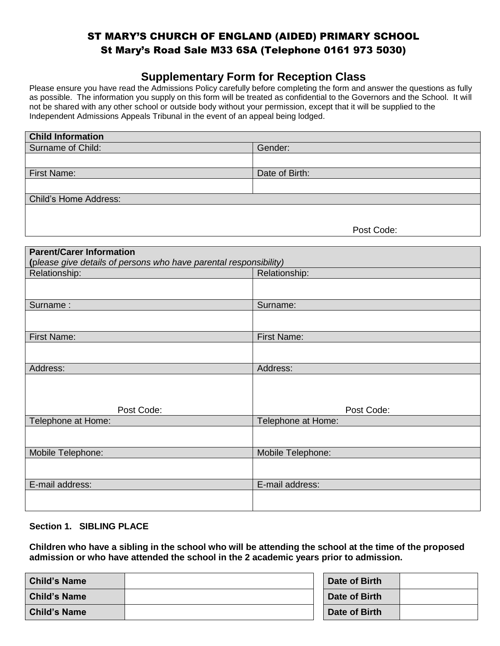## **Supplementary Form for Reception Class**

Please ensure you have read the Admissions Policy carefully before completing the form and answer the questions as fully as possible. The information you supply on this form will be treated as confidential to the Governors and the School. It will not be shared with any other school or outside body without your permission, except that it will be supplied to the Independent Admissions Appeals Tribunal in the event of an appeal being lodged.

| <b>Child Information</b>     |                |  |
|------------------------------|----------------|--|
| Surname of Child:            | Gender:        |  |
|                              |                |  |
| First Name:                  | Date of Birth: |  |
|                              |                |  |
| <b>Child's Home Address:</b> |                |  |
|                              |                |  |
|                              | - - -          |  |

Post Code:

| <b>Parent/Carer Information</b>                                   |                    |  |
|-------------------------------------------------------------------|--------------------|--|
| (please give details of persons who have parental responsibility) |                    |  |
| Relationship:                                                     | Relationship:      |  |
|                                                                   |                    |  |
| Surname:                                                          | Surname:           |  |
|                                                                   |                    |  |
| <b>First Name:</b>                                                | <b>First Name:</b> |  |
|                                                                   |                    |  |
| Address:                                                          | Address:           |  |
| Post Code:                                                        | Post Code:         |  |
| Telephone at Home:                                                | Telephone at Home: |  |
|                                                                   |                    |  |
| Mobile Telephone:                                                 | Mobile Telephone:  |  |
|                                                                   |                    |  |
| E-mail address:                                                   | E-mail address:    |  |
|                                                                   |                    |  |

#### **Section 1. SIBLING PLACE**

**Children who have a sibling in the school who will be attending the school at the time of the proposed admission or who have attended the school in the 2 academic years prior to admission.**

| <b>Child's Name</b> | Date of Birth |  |
|---------------------|---------------|--|
| <b>Child's Name</b> | Date of Birth |  |
| <b>Child's Name</b> | Date of Birth |  |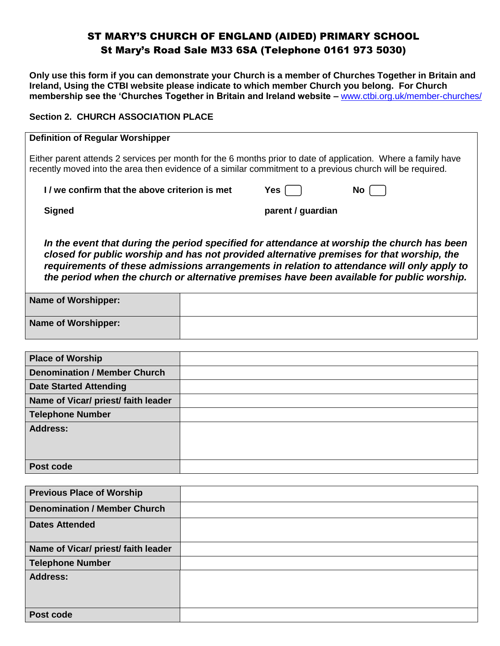**Only use this form if you can demonstrate your Church is a member of Churches Together in Britain and Ireland, Using the CTBI website please indicate to which member Church you belong. For Church membership see the 'Churches Together in Britain and Ireland website –** [www.ctbi.org.uk/member-churches/](http://www.ctbi.org.uk/member-churches/) 

#### **Section 2. CHURCH ASSOCIATION PLACE**

| <b>Definition of Regular Worshipper</b>                                                                                                                                                                                                                                                                                                                                              |  |                   |      |
|--------------------------------------------------------------------------------------------------------------------------------------------------------------------------------------------------------------------------------------------------------------------------------------------------------------------------------------------------------------------------------------|--|-------------------|------|
| Either parent attends 2 services per month for the 6 months prior to date of application. Where a family have<br>recently moved into the area then evidence of a similar commitment to a previous church will be required.                                                                                                                                                           |  |                   |      |
| I/ we confirm that the above criterion is met                                                                                                                                                                                                                                                                                                                                        |  | Yes l             | No l |
| <b>Signed</b>                                                                                                                                                                                                                                                                                                                                                                        |  | parent / guardian |      |
| In the event that during the period specified for attendance at worship the church has been<br>closed for public worship and has not provided alternative premises for that worship, the<br>requirements of these admissions arrangements in relation to attendance will only apply to<br>the period when the church or alternative premises have been available for public worship. |  |                   |      |
| <b>Name of Worshipper:</b>                                                                                                                                                                                                                                                                                                                                                           |  |                   |      |
| <b>Name of Worshipper:</b>                                                                                                                                                                                                                                                                                                                                                           |  |                   |      |
|                                                                                                                                                                                                                                                                                                                                                                                      |  |                   |      |
| <b>Place of Worship</b>                                                                                                                                                                                                                                                                                                                                                              |  |                   |      |
| <b>Denomination / Member Church</b>                                                                                                                                                                                                                                                                                                                                                  |  |                   |      |
| <b>Date Started Attending</b>                                                                                                                                                                                                                                                                                                                                                        |  |                   |      |
|                                                                                                                                                                                                                                                                                                                                                                                      |  |                   |      |

| Name of Vicar/ priest/ faith leader |  |
|-------------------------------------|--|
| <b>Telephone Number</b>             |  |
| <b>Address:</b>                     |  |
| Post code                           |  |

| <b>Previous Place of Worship</b>    |  |
|-------------------------------------|--|
| <b>Denomination / Member Church</b> |  |
| <b>Dates Attended</b>               |  |
| Name of Vicar/ priest/ faith leader |  |
| <b>Telephone Number</b>             |  |
| <b>Address:</b>                     |  |
| Post code                           |  |